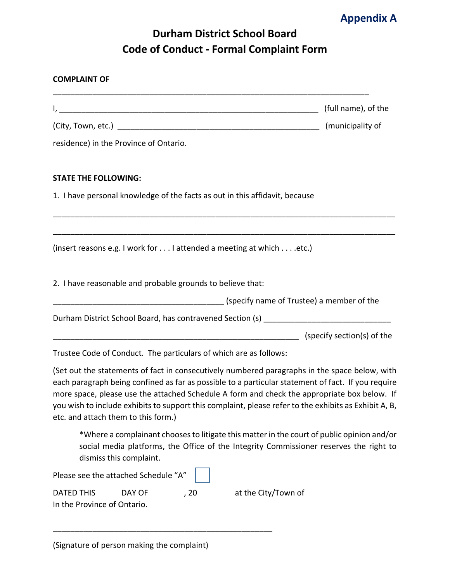

## **Durham District School Board Code of Conduct - Formal Complaint Form**

| <b>COMPLAINT OF</b>         |                                                            |      |                                                                                                                                                                                                                                                                                                                                                                                                             |                     |
|-----------------------------|------------------------------------------------------------|------|-------------------------------------------------------------------------------------------------------------------------------------------------------------------------------------------------------------------------------------------------------------------------------------------------------------------------------------------------------------------------------------------------------------|---------------------|
|                             |                                                            |      |                                                                                                                                                                                                                                                                                                                                                                                                             | (full name), of the |
|                             |                                                            |      |                                                                                                                                                                                                                                                                                                                                                                                                             |                     |
|                             | residence) in the Province of Ontario.                     |      |                                                                                                                                                                                                                                                                                                                                                                                                             |                     |
| <b>STATE THE FOLLOWING:</b> |                                                            |      |                                                                                                                                                                                                                                                                                                                                                                                                             |                     |
|                             |                                                            |      | 1. I have personal knowledge of the facts as out in this affidavit, because                                                                                                                                                                                                                                                                                                                                 |                     |
|                             |                                                            |      | (insert reasons e.g. I work for I attended a meeting at which etc.)                                                                                                                                                                                                                                                                                                                                         |                     |
|                             | 2. I have reasonable and probable grounds to believe that: |      |                                                                                                                                                                                                                                                                                                                                                                                                             |                     |
|                             |                                                            |      | (specify name of Trustee) a member of the summanneed the sensing specify name of Trustee) a member of the                                                                                                                                                                                                                                                                                                   |                     |
|                             |                                                            |      |                                                                                                                                                                                                                                                                                                                                                                                                             |                     |
|                             |                                                            |      | (specify section(s) of the                                                                                                                                                                                                                                                                                                                                                                                  |                     |
|                             |                                                            |      | Trustee Code of Conduct. The particulars of which are as follows:                                                                                                                                                                                                                                                                                                                                           |                     |
|                             | etc. and attach them to this form.)                        |      | (Set out the statements of fact in consecutively numbered paragraphs in the space below, with<br>each paragraph being confined as far as possible to a particular statement of fact. If you require<br>more space, please use the attached Schedule A form and check the appropriate box below. If<br>you wish to include exhibits to support this complaint, please refer to the exhibits as Exhibit A, B, |                     |
|                             | dismiss this complaint.                                    |      | *Where a complainant chooses to litigate this matter in the court of public opinion and/or<br>social media platforms, the Office of the Integrity Commissioner reserves the right to                                                                                                                                                                                                                        |                     |
|                             | Please see the attached Schedule "A"                       |      |                                                                                                                                                                                                                                                                                                                                                                                                             |                     |
| <b>DATED THIS</b>           | DAY OF                                                     | , 20 | at the City/Town of                                                                                                                                                                                                                                                                                                                                                                                         |                     |

(Signature of person making the complaint)

\_\_\_\_\_\_\_\_\_\_\_\_\_\_\_\_\_\_\_\_\_\_\_\_\_\_\_\_\_\_\_\_\_\_\_\_\_\_\_\_\_\_\_\_\_\_\_\_\_\_

In the Province of Ontario.